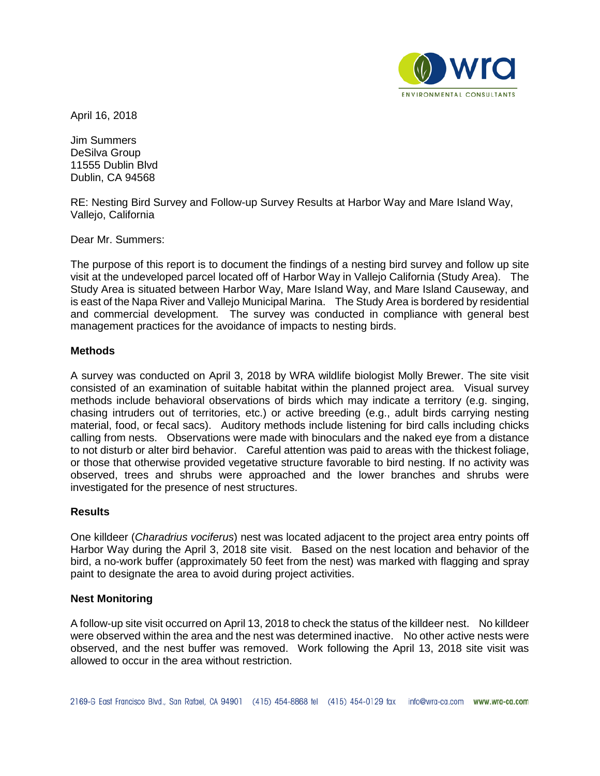

April 16, 2018

Jim Summers DeSilva Group 11555 Dublin Blvd Dublin, CA 94568

RE: Nesting Bird Survey and Follow-up Survey Results at Harbor Way and Mare Island Way, Vallejo, California

Dear Mr. Summers:

The purpose of this report is to document the findings of a nesting bird survey and follow up site visit at the undeveloped parcel located off of Harbor Way in Vallejo California (Study Area). The Study Area is situated between Harbor Way, Mare Island Way, and Mare Island Causeway, and is east of the Napa River and Vallejo Municipal Marina. The Study Area is bordered by residential and commercial development. The survey was conducted in compliance with general best management practices for the avoidance of impacts to nesting birds.

## **Methods**

A survey was conducted on April 3, 2018 by WRA wildlife biologist Molly Brewer. The site visit consisted of an examination of suitable habitat within the planned project area. Visual survey methods include behavioral observations of birds which may indicate a territory (e.g. singing, chasing intruders out of territories, etc.) or active breeding (e.g., adult birds carrying nesting material, food, or fecal sacs). Auditory methods include listening for bird calls including chicks calling from nests. Observations were made with binoculars and the naked eye from a distance to not disturb or alter bird behavior. Careful attention was paid to areas with the thickest foliage, or those that otherwise provided vegetative structure favorable to bird nesting. If no activity was observed, trees and shrubs were approached and the lower branches and shrubs were investigated for the presence of nest structures.

## **Results**

One killdeer (*Charadrius vociferus*) nest was located adjacent to the project area entry points off Harbor Way during the April 3, 2018 site visit. Based on the nest location and behavior of the bird, a no-work buffer (approximately 50 feet from the nest) was marked with flagging and spray paint to designate the area to avoid during project activities.

## **Nest Monitoring**

A follow-up site visit occurred on April 13, 2018 to check the status of the killdeer nest. No killdeer were observed within the area and the nest was determined inactive. No other active nests were observed, and the nest buffer was removed. Work following the April 13, 2018 site visit was allowed to occur in the area without restriction.